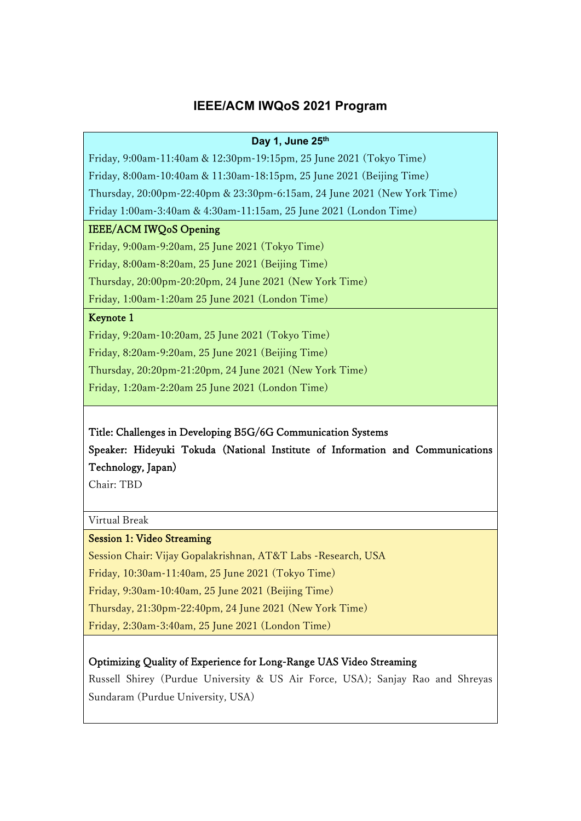### **IEEE/ACM IWQoS 2021 Program**

#### **Day 1, June 25th**

Friday, 9:00am-11:40am & 12:30pm-19:15pm, 25 June 2021 (Tokyo Time) Friday, 8:00am-10:40am & 11:30am-18:15pm, 25 June 2021 (Beijing Time) Thursday, 20:00pm-22:40pm & 23:30pm-6:15am, 24 June 2021 (New York Time)

Friday 1:00am-3:40am & 4:30am-11:15am, 25 June 2021 (London Time)

#### IEEE/ACM IWQoS Opening

Friday, 9:00am-9:20am, 25 June 2021 (Tokyo Time) Friday, 8:00am-8:20am, 25 June 2021 (Beijing Time)

Thursday, 20:00pm-20:20pm, 24 June 2021 (New York Time)

Friday, 1:00am-1:20am 25 June 2021 (London Time)

### Keynote 1

Friday, 9:20am-10:20am, 25 June 2021 (Tokyo Time) Friday, 8:20am-9:20am, 25 June 2021 (Beijing Time) Thursday, 20:20pm-21:20pm, 24 June 2021 (New York Time) Friday, 1:20am-2:20am 25 June 2021 (London Time)

### Title: Challenges in Developing B5G/6G Communication Systems

Speaker: Hideyuki Tokuda (National Institute of Information and Communications Technology, Japan)

Chair: TBD

Virtual Break

### Session 1: Video Streaming

Session Chair: Vijay Gopalakrishnan, AT&T Labs -Research, USA Friday, 10:30am-11:40am, 25 June 2021 (Tokyo Time) Friday, 9:30am-10:40am, 25 June 2021 (Beijing Time) Thursday, 21:30pm-22:40pm, 24 June 2021 (New York Time) Friday, 2:30am-3:40am, 25 June 2021 (London Time)

### Optimizing Quality of Experience for Long-Range UAS Video Streaming

Russell Shirey (Purdue University & US Air Force, USA); Sanjay Rao and Shreyas Sundaram (Purdue University, USA)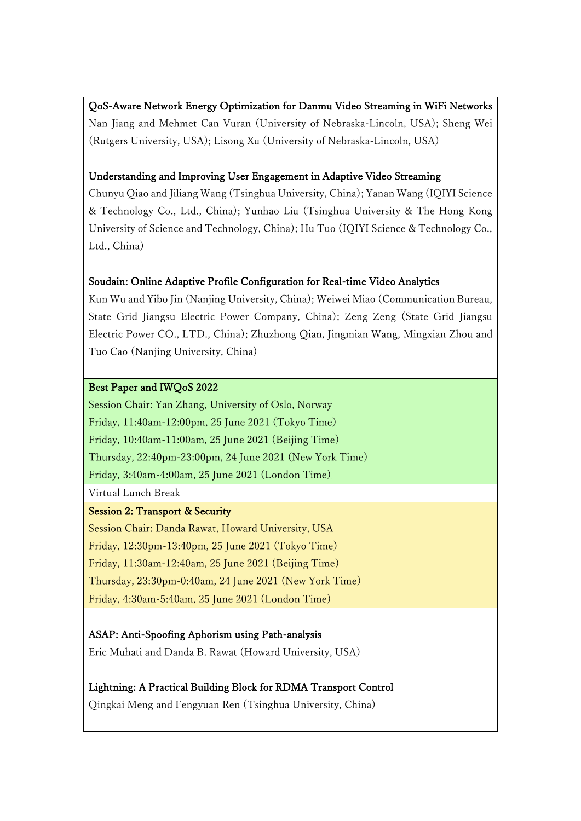### QoS-Aware Network Energy Optimization for Danmu Video Streaming in WiFi Networks

Nan Jiang and Mehmet Can Vuran (University of Nebraska-Lincoln, USA); Sheng Wei (Rutgers University, USA); Lisong Xu (University of Nebraska-Lincoln, USA)

### Understanding and Improving User Engagement in Adaptive Video Streaming

Chunyu Qiao and Jiliang Wang (Tsinghua University, China); Yanan Wang (IQIYI Science & Technology Co., Ltd., China); Yunhao Liu (Tsinghua University & The Hong Kong University of Science and Technology, China); Hu Tuo (IQIYI Science & Technology Co., Ltd., China)

### Soudain: Online Adaptive Profile Configuration for Real-time Video Analytics

Kun Wu and Yibo Jin (Nanjing University, China); Weiwei Miao (Communication Bureau, State Grid Jiangsu Electric Power Company, China); Zeng Zeng (State Grid Jiangsu Electric Power CO., LTD., China); Zhuzhong Qian, Jingmian Wang, Mingxian Zhou and Tuo Cao (Nanjing University, China)

### Best Paper and IWQoS 2022

Session Chair: Yan Zhang, University of Oslo, Norway Friday, 11:40am-12:00pm, 25 June 2021 (Tokyo Time) Friday, 10:40am-11:00am, 25 June 2021 (Beijing Time) Thursday, 22:40pm-23:00pm, 24 June 2021 (New York Time) Friday, 3:40am-4:00am, 25 June 2021 (London Time)

Virtual Lunch Break

### Session 2: Transport & Security

Session Chair: Danda Rawat, Howard University, USA Friday, 12:30pm-13:40pm, 25 June 2021 (Tokyo Time) Friday, 11:30am-12:40am, 25 June 2021 (Beijing Time) Thursday, 23:30pm-0:40am, 24 June 2021 (New York Time) Friday, 4:30am-5:40am, 25 June 2021 (London Time)

### ASAP: Anti-Spoofing Aphorism using Path-analysis

Eric Muhati and Danda B. Rawat (Howard University, USA)

# Lightning: A Practical Building Block for RDMA Transport Control

Qingkai Meng and Fengyuan Ren (Tsinghua University, China)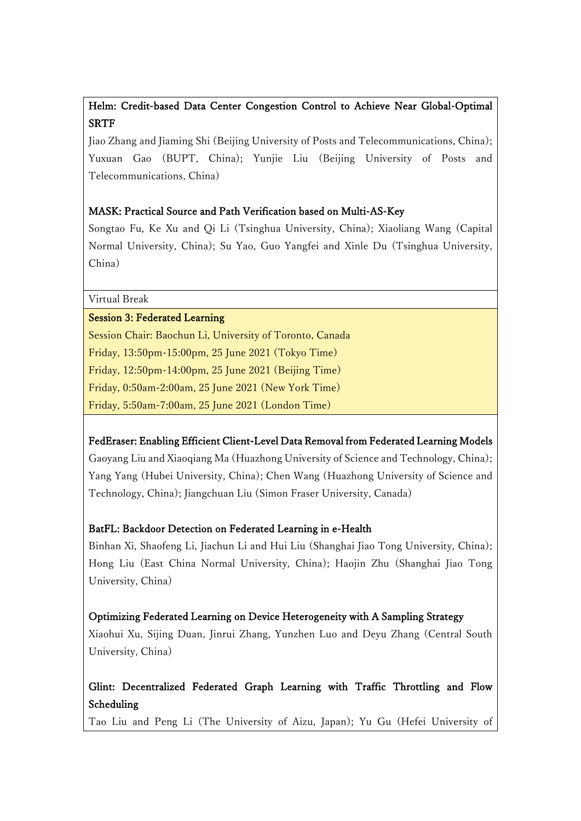## Helm: Credit-based Data Center Congestion Control to Achieve Near Global-Optimal **SRTF**

Jiao Zhang and Jiaming Shi (Beijing University of Posts and Telecommunications, China); Yuxuan Gao (BUPT, China); Yunjie Liu (Beijing University of Posts and Telecommunications, China)

### MASK: Practical Source and Path Verification based on Multi-AS-Key

Songtao Fu, Ke Xu and Qi Li (Tsinghua University, China); Xiaoliang Wang (Capital Normal University, China); Su Yao, Guo Yangfei and Xinle Du (Tsinghua University, China)

Virtual Break

### Session 3: Federated Learning

Session Chair: Baochun Li, University of Toronto, Canada Friday, 13:50pm-15:00pm, 25 June 2021 (Tokyo Time) Friday, 12:50pm-14:00pm, 25 June 2021 (Beijing Time) Friday, 0:50am-2:00am, 25 June 2021 (New York Time) Friday, 5:50am-7:00am, 25 June 2021 (London Time)

FedEraser: Enabling Efficient Client-Level Data Removal from Federated Learning Models Gaoyang Liu and Xiaoqiang Ma (Huazhong University of Science and Technology, China); Yang Yang (Hubei University, China); Chen Wang (Huazhong University of Science and Technology, China); Jiangchuan Liu (Simon Fraser University, Canada)

### BatFL: Backdoor Detection on Federated Learning in e-Health

Binhan Xi, Shaofeng Li, Jiachun Li and Hui Liu (Shanghai Jiao Tong University, China); Hong Liu (East China Normal University, China); Haojin Zhu (Shanghai Jiao Tong University, China)

### Optimizing Federated Learning on Device Heterogeneity with A Sampling Strategy

Xiaohui Xu, Sijing Duan, Jinrui Zhang, Yunzhen Luo and Deyu Zhang (Central South University, China)

# Glint: Decentralized Federated Graph Learning with Traffic Throttling and Flow Scheduling

Tao Liu and Peng Li (The University of Aizu, Japan); Yu Gu (Hefei University of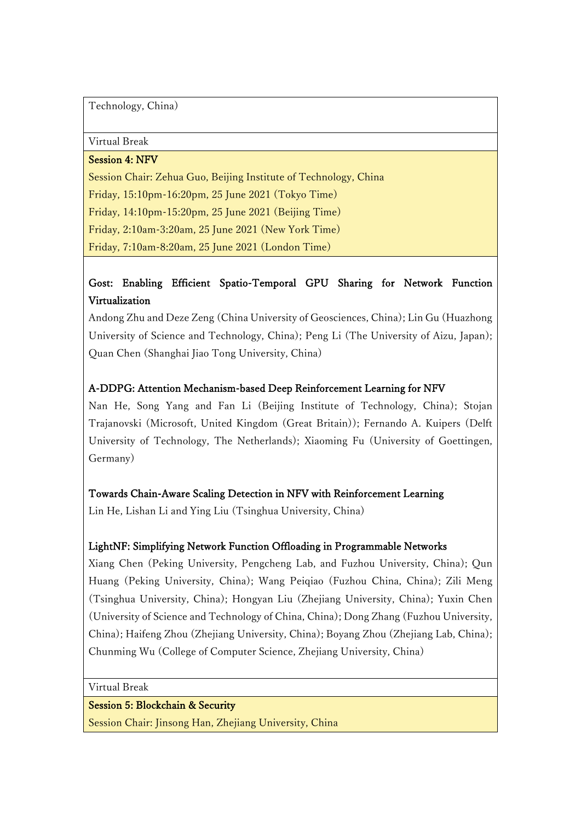Technology, China)

Virtual Break

Session 4: NFV

Session Chair: Zehua Guo, Beijing Institute of Technology, China Friday, 15:10pm-16:20pm, 25 June 2021 (Tokyo Time) Friday, 14:10pm-15:20pm, 25 June 2021 (Beijing Time) Friday, 2:10am-3:20am, 25 June 2021 (New York Time) Friday, 7:10am-8:20am, 25 June 2021 (London Time)

# Gost: Enabling Efficient Spatio-Temporal GPU Sharing for Network Function Virtualization

Andong Zhu and Deze Zeng (China University of Geosciences, China); Lin Gu (Huazhong University of Science and Technology, China); Peng Li (The University of Aizu, Japan); Quan Chen (Shanghai Jiao Tong University, China)

### A-DDPG: Attention Mechanism-based Deep Reinforcement Learning for NFV

Nan He, Song Yang and Fan Li (Beijing Institute of Technology, China); Stojan Trajanovski (Microsoft, United Kingdom (Great Britain)); Fernando A. Kuipers (Delft University of Technology, The Netherlands); Xiaoming Fu (University of Goettingen, Germany)

### Towards Chain-Aware Scaling Detection in NFV with Reinforcement Learning

Lin He, Lishan Li and Ying Liu (Tsinghua University, China)

### LightNF: Simplifying Network Function Offloading in Programmable Networks

Xiang Chen (Peking University, Pengcheng Lab, and Fuzhou University, China); Qun Huang (Peking University, China); Wang Peiqiao (Fuzhou China, China); Zili Meng (Tsinghua University, China); Hongyan Liu (Zhejiang University, China); Yuxin Chen (University of Science and Technology of China, China); Dong Zhang (Fuzhou University, China); Haifeng Zhou (Zhejiang University, China); Boyang Zhou (Zhejiang Lab, China); Chunming Wu (College of Computer Science, Zhejiang University, China)

Virtual Break

### Session 5: Blockchain & Security

Session Chair: Jinsong Han, Zhejiang University, China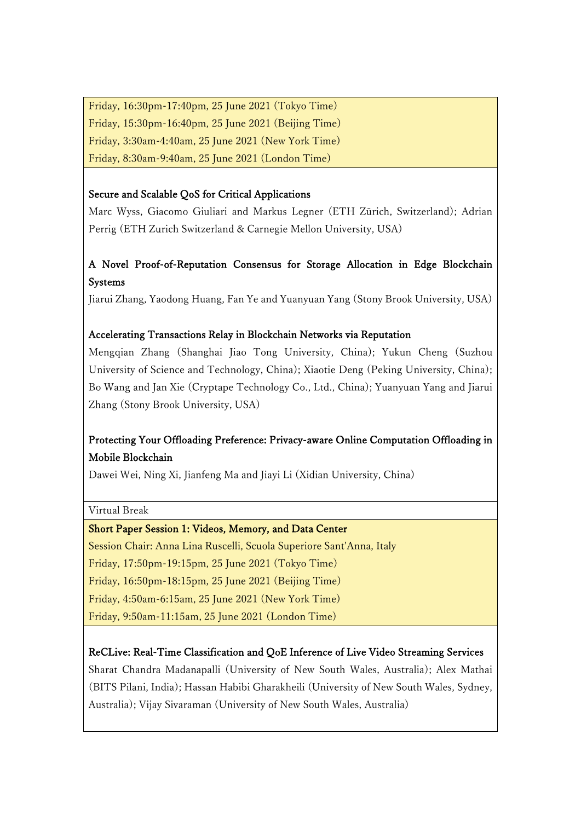Friday, 16:30pm-17:40pm, 25 June 2021 (Tokyo Time) Friday, 15:30pm-16:40pm, 25 June 2021 (Beijing Time) Friday, 3:30am-4:40am, 25 June 2021 (New York Time) Friday, 8:30am-9:40am, 25 June 2021 (London Time)

### Secure and Scalable QoS for Critical Applications

Marc Wyss, Giacomo Giuliari and Markus Legner (ETH Zürich, Switzerland); Adrian Perrig (ETH Zurich Switzerland & Carnegie Mellon University, USA)

# A Novel Proof-of-Reputation Consensus for Storage Allocation in Edge Blockchain Systems

Jiarui Zhang, Yaodong Huang, Fan Ye and Yuanyuan Yang (Stony Brook University, USA)

### Accelerating Transactions Relay in Blockchain Networks via Reputation

Mengqian Zhang (Shanghai Jiao Tong University, China); Yukun Cheng (Suzhou University of Science and Technology, China); Xiaotie Deng (Peking University, China); Bo Wang and Jan Xie (Cryptape Technology Co., Ltd., China); Yuanyuan Yang and Jiarui Zhang (Stony Brook University, USA)

# Protecting Your Offloading Preference: Privacy-aware Online Computation Offloading in Mobile Blockchain

Dawei Wei, Ning Xi, Jianfeng Ma and Jiayi Li (Xidian University, China)

Virtual Break

### Short Paper Session 1: Videos, Memory, and Data Center

Session Chair: Anna Lina Ruscelli, Scuola Superiore Sant'Anna, Italy

Friday, 17:50pm-19:15pm, 25 June 2021 (Tokyo Time)

Friday, 16:50pm-18:15pm, 25 June 2021 (Beijing Time)

Friday, 4:50am-6:15am, 25 June 2021 (New York Time)

Friday, 9:50am-11:15am, 25 June 2021 (London Time)

### ReCLive: Real-Time Classification and QoE Inference of Live Video Streaming Services

Sharat Chandra Madanapalli (University of New South Wales, Australia); Alex Mathai (BITS Pilani, India); Hassan Habibi Gharakheili (University of New South Wales, Sydney, Australia); Vijay Sivaraman (University of New South Wales, Australia)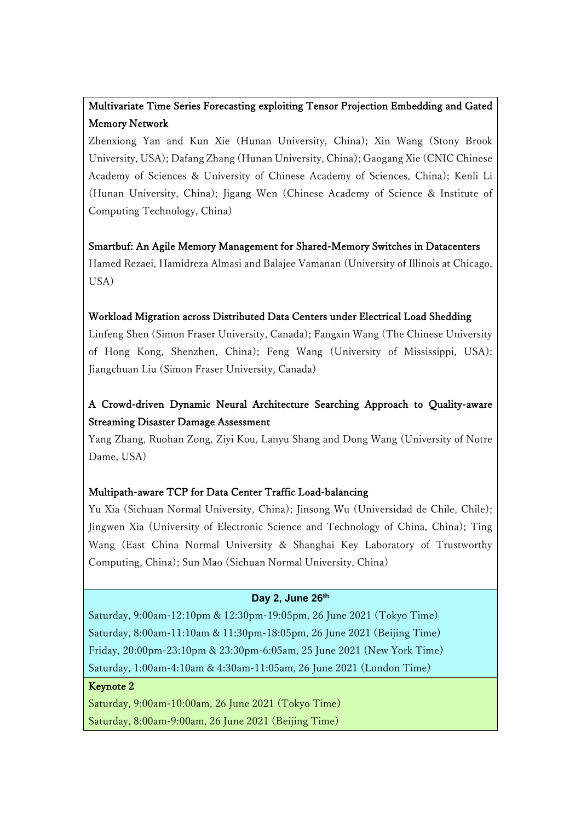# Multivariate Time Series Forecasting exploiting Tensor Projection Embedding and Gated Memory Network

Zhenxiong Yan and Kun Xie (Hunan University, China); Xin Wang (Stony Brook University, USA); Dafang Zhang (Hunan University, China); Gaogang Xie (CNIC Chinese Academy of Sciences & University of Chinese Academy of Sciences, China); Kenli Li (Hunan University, China); Jigang Wen (Chinese Academy of Science & Institute of Computing Technology, China)

Smartbuf: An Agile Memory Management for Shared-Memory Switches in Datacenters Hamed Rezaei, Hamidreza Almasi and Balajee Vamanan (University of Illinois at Chicago, USA)

### Workload Migration across Distributed Data Centers under Electrical Load Shedding

Linfeng Shen (Simon Fraser University, Canada); Fangxin Wang (The Chinese University of Hong Kong, Shenzhen, China); Feng Wang (University of Mississippi, USA); Jiangchuan Liu (Simon Fraser University, Canada)

# A Crowd-driven Dynamic Neural Architecture Searching Approach to Quality-aware Streaming Disaster Damage Assessment

Yang Zhang, Ruohan Zong, Ziyi Kou, Lanyu Shang and Dong Wang (University of Notre Dame, USA)

### Multipath-aware TCP for Data Center Traffic Load-balancing

Yu Xia (Sichuan Normal University, China); Jinsong Wu (Universidad de Chile, Chile); Jingwen Xia (University of Electronic Science and Technology of China, China); Ting Wang (East China Normal University & Shanghai Key Laboratory of Trustworthy Computing, China); Sun Mao (Sichuan Normal University, China)

## **Day 2, June 26th**

Saturday, 9:00am-12:10pm & 12:30pm-19:05pm, 26 June 2021 (Tokyo Time) Saturday, 8:00am-11:10am & 11:30pm-18:05pm, 26 June 2021 (Beijing Time) Friday, 20:00pm-23:10pm & 23:30pm-6:05am, 25 June 2021 (New York Time) Saturday, 1:00am-4:10am & 4:30am-11:05am, 26 June 2021 (London Time)

### Keynote 2

Saturday, 9:00am-10:00am, 26 June 2021 (Tokyo Time) Saturday, 8:00am-9:00am, 26 June 2021 (Beijing Time)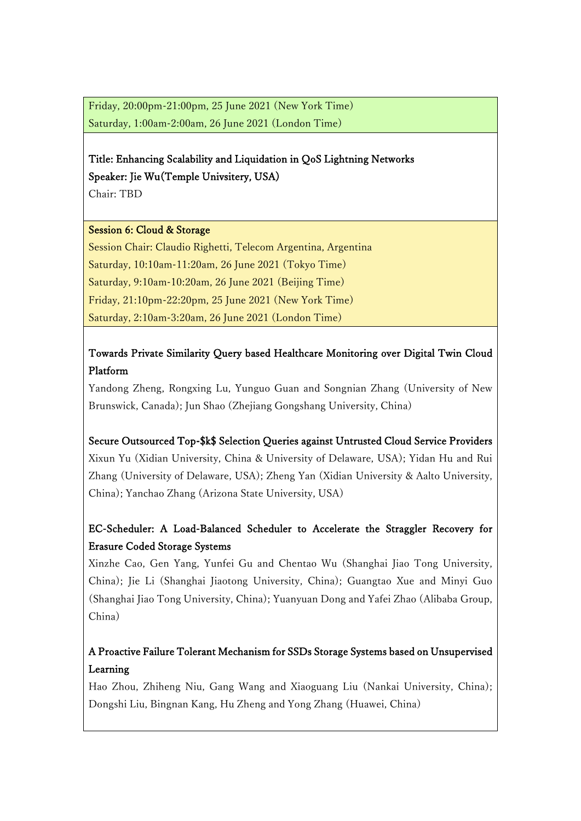Friday, 20:00pm-21:00pm, 25 June 2021 (New York Time) Saturday, 1:00am-2:00am, 26 June 2021 (London Time)

# Title: Enhancing Scalability and Liquidation in QoS Lightning Networks Speaker: Jie Wu(Temple Univsitery, USA)

Chair: TBD

### Session 6: Cloud & Storage

Session Chair: Claudio Righetti, Telecom Argentina, Argentina Saturday, 10:10am-11:20am, 26 June 2021 (Tokyo Time) Saturday, 9:10am-10:20am, 26 June 2021 (Beijing Time) Friday, 21:10pm-22:20pm, 25 June 2021 (New York Time) Saturday, 2:10am-3:20am, 26 June 2021 (London Time)

# Towards Private Similarity Query based Healthcare Monitoring over Digital Twin Cloud Platform

Yandong Zheng, Rongxing Lu, Yunguo Guan and Songnian Zhang (University of New Brunswick, Canada); Jun Shao (Zhejiang Gongshang University, China)

# Secure Outsourced Top-\$k\$ Selection Queries against Untrusted Cloud Service Providers Xixun Yu (Xidian University, China & University of Delaware, USA); Yidan Hu and Rui Zhang (University of Delaware, USA); Zheng Yan (Xidian University & Aalto University, China); Yanchao Zhang (Arizona State University, USA)

# EC-Scheduler: A Load-Balanced Scheduler to Accelerate the Straggler Recovery for Erasure Coded Storage Systems

Xinzhe Cao, Gen Yang, Yunfei Gu and Chentao Wu (Shanghai Jiao Tong University, China); Jie Li (Shanghai Jiaotong University, China); Guangtao Xue and Minyi Guo (Shanghai Jiao Tong University, China); Yuanyuan Dong and Yafei Zhao (Alibaba Group, China)

# A Proactive Failure Tolerant Mechanism for SSDs Storage Systems based on Unsupervised Learning

Hao Zhou, Zhiheng Niu, Gang Wang and Xiaoguang Liu (Nankai University, China); Dongshi Liu, Bingnan Kang, Hu Zheng and Yong Zhang (Huawei, China)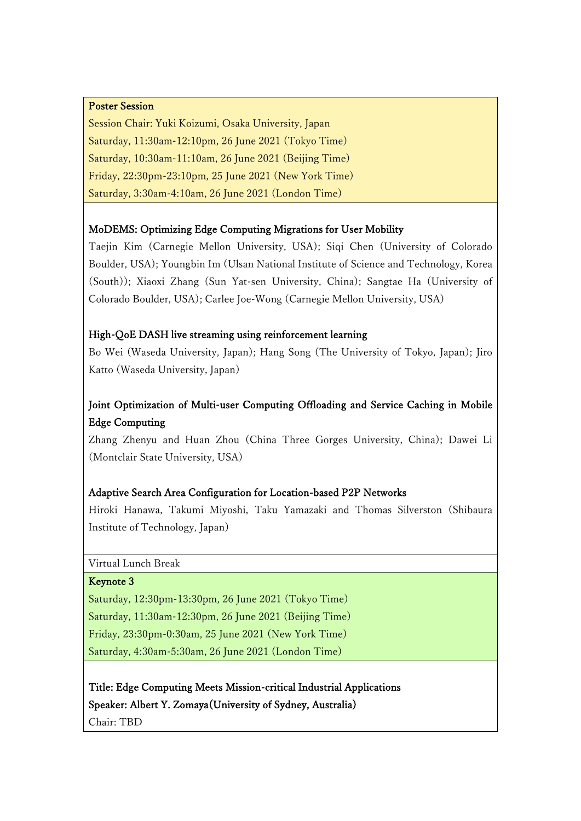#### Poster Session

Session Chair: Yuki Koizumi, Osaka University, Japan Saturday, 11:30am-12:10pm, 26 June 2021 (Tokyo Time) Saturday, 10:30am-11:10am, 26 June 2021 (Beijing Time) Friday, 22:30pm-23:10pm, 25 June 2021 (New York Time) Saturday, 3:30am-4:10am, 26 June 2021 (London Time)

#### MoDEMS: Optimizing Edge Computing Migrations for User Mobility

Taejin Kim (Carnegie Mellon University, USA); Siqi Chen (University of Colorado Boulder, USA); Youngbin Im (Ulsan National Institute of Science and Technology, Korea (South)); Xiaoxi Zhang (Sun Yat-sen University, China); Sangtae Ha (University of Colorado Boulder, USA); Carlee Joe-Wong (Carnegie Mellon University, USA)

#### High-QoE DASH live streaming using reinforcement learning

Bo Wei (Waseda University, Japan); Hang Song (The University of Tokyo, Japan); Jiro Katto (Waseda University, Japan)

# Joint Optimization of Multi-user Computing Offloading and Service Caching in Mobile Edge Computing

Zhang Zhenyu and Huan Zhou (China Three Gorges University, China); Dawei Li (Montclair State University, USA)

### Adaptive Search Area Configuration for Location-based P2P Networks

Hiroki Hanawa, Takumi Miyoshi, Taku Yamazaki and Thomas Silverston (Shibaura Institute of Technology, Japan)

Virtual Lunch Break

#### Keynote 3

Saturday, 12:30pm-13:30pm, 26 June 2021 (Tokyo Time) Saturday, 11:30am-12:30pm, 26 June 2021 (Beijing Time) Friday, 23:30pm-0:30am, 25 June 2021 (New York Time) Saturday, 4:30am-5:30am, 26 June 2021 (London Time)

Title: Edge Computing Meets Mission-critical Industrial Applications Speaker: Albert Y. Zomaya(University of Sydney, Australia) Chair: TBD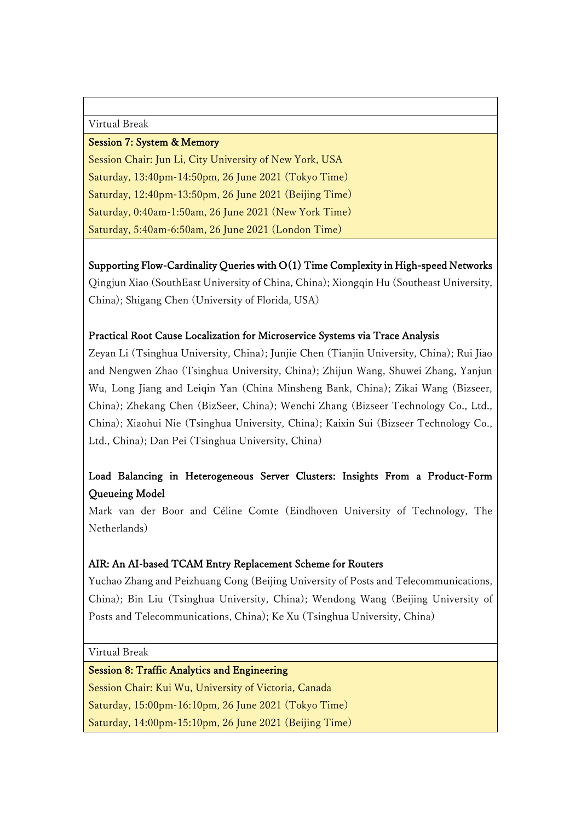Virtual Break

#### Session 7: System & Memory

Session Chair: Jun Li, City University of New York, USA Saturday, 13:40pm-14:50pm, 26 June 2021 (Tokyo Time) Saturday, 12:40pm-13:50pm, 26 June 2021 (Beijing Time) Saturday, 0:40am-1:50am, 26 June 2021 (New York Time) Saturday, 5:40am-6:50am, 26 June 2021 (London Time)

Supporting Flow-Cardinality Queries with O(1) Time Complexity in High-speed Networks Qingjun Xiao (SouthEast University of China, China); Xiongqin Hu (Southeast University, China); Shigang Chen (University of Florida, USA)

### Practical Root Cause Localization for Microservice Systems via Trace Analysis

Zeyan Li (Tsinghua University, China); Junjie Chen (Tianjin University, China); Rui Jiao and Nengwen Zhao (Tsinghua University, China); Zhijun Wang, Shuwei Zhang, Yanjun Wu, Long Jiang and Leiqin Yan (China Minsheng Bank, China); Zikai Wang (Bizseer, China); Zhekang Chen (BizSeer, China); Wenchi Zhang (Bizseer Technology Co., Ltd., China); Xiaohui Nie (Tsinghua University, China); Kaixin Sui (Bizseer Technology Co., Ltd., China); Dan Pei (Tsinghua University, China)

# Load Balancing in Heterogeneous Server Clusters: Insights From a Product-Form Queueing Model

Mark van der Boor and Céline Comte (Eindhoven University of Technology, The Netherlands)

### AIR: An AI-based TCAM Entry Replacement Scheme for Routers

Yuchao Zhang and Peizhuang Cong (Beijing University of Posts and Telecommunications, China); Bin Liu (Tsinghua University, China); Wendong Wang (Beijing University of Posts and Telecommunications, China); Ke Xu (Tsinghua University, China)

Virtual Break

### Session 8: Traffic Analytics and Engineering

Session Chair: Kui Wu, University of Victoria, Canada Saturday, 15:00pm-16:10pm, 26 June 2021 (Tokyo Time) Saturday, 14:00pm-15:10pm, 26 June 2021 (Beijing Time)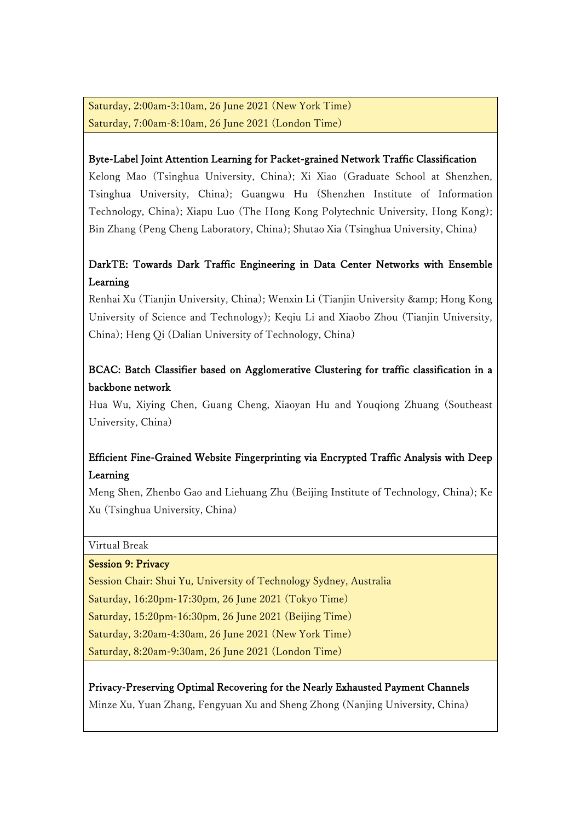Saturday, 2:00am-3:10am, 26 June 2021 (New York Time) Saturday, 7:00am-8:10am, 26 June 2021 (London Time)

### Byte-Label Joint Attention Learning for Packet-grained Network Traffic Classification

Kelong Mao (Tsinghua University, China); Xi Xiao (Graduate School at Shenzhen, Tsinghua University, China); Guangwu Hu (Shenzhen Institute of Information Technology, China); Xiapu Luo (The Hong Kong Polytechnic University, Hong Kong); Bin Zhang (Peng Cheng Laboratory, China); Shutao Xia (Tsinghua University, China)

# DarkTE: Towards Dark Traffic Engineering in Data Center Networks with Ensemble Learning

Renhai Xu (Tianjin University, China); Wenxin Li (Tianjin University & amp; Hong Kong University of Science and Technology); Keqiu Li and Xiaobo Zhou (Tianjin University, China); Heng Qi (Dalian University of Technology, China)

# BCAC: Batch Classifier based on Agglomerative Clustering for traffic classification in a backbone network

Hua Wu, Xiying Chen, Guang Cheng, Xiaoyan Hu and Youqiong Zhuang (Southeast University, China)

# Efficient Fine-Grained Website Fingerprinting via Encrypted Traffic Analysis with Deep Learning

Meng Shen, Zhenbo Gao and Liehuang Zhu (Beijing Institute of Technology, China); Ke Xu (Tsinghua University, China)

Virtual Break

### Session 9: Privacy

Session Chair: Shui Yu, University of Technology Sydney, Australia Saturday, 16:20pm-17:30pm, 26 June 2021 (Tokyo Time) Saturday, 15:20pm-16:30pm, 26 June 2021 (Beijing Time) Saturday, 3:20am-4:30am, 26 June 2021 (New York Time) Saturday, 8:20am-9:30am, 26 June 2021 (London Time)

Privacy-Preserving Optimal Recovering for the Nearly Exhausted Payment Channels

Minze Xu, Yuan Zhang, Fengyuan Xu and Sheng Zhong (Nanjing University, China)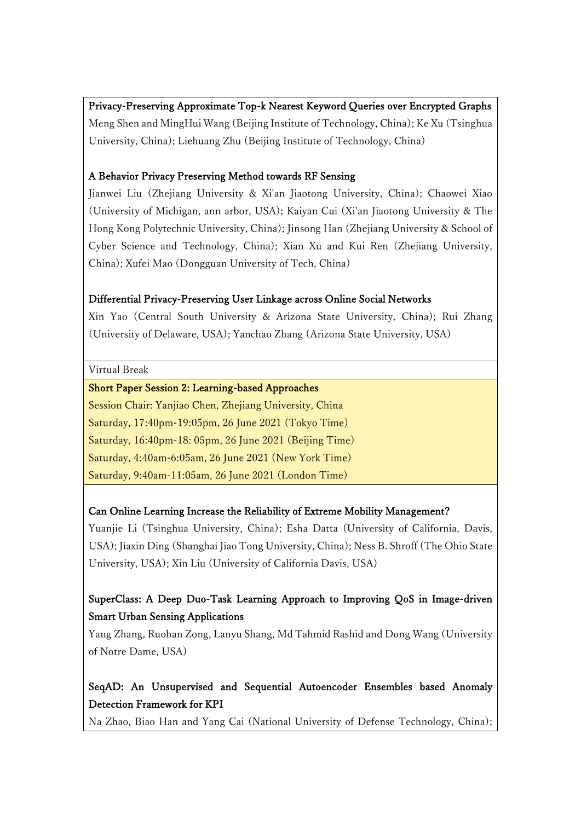### Privacy-Preserving Approximate Top-k Nearest Keyword Queries over Encrypted Graphs

Meng Shen and MingHui Wang (Beijing Institute of Technology, China); Ke Xu (Tsinghua University, China); Liehuang Zhu (Beijing Institute of Technology, China)

### A Behavior Privacy Preserving Method towards RF Sensing

Jianwei Liu (Zhejiang University & Xi'an Jiaotong University, China); Chaowei Xiao (University of Michigan, ann arbor, USA); Kaiyan Cui (Xi'an Jiaotong University & The Hong Kong Polytechnic University, China); Jinsong Han (Zhejiang University & School of Cyber Science and Technology, China); Xian Xu and Kui Ren (Zhejiang University, China); Xufei Mao (Dongguan University of Tech, China)

### Differential Privacy-Preserving User Linkage across Online Social Networks

Xin Yao (Central South University & Arizona State University, China); Rui Zhang (University of Delaware, USA); Yanchao Zhang (Arizona State University, USA)

#### Virtual Break

#### Short Paper Session 2: Learning-based Approaches

Session Chair: Yanjiao Chen, Zhejiang University, China Saturday, 17:40pm-19:05pm, 26 June 2021 (Tokyo Time) Saturday, 16:40pm-18: 05pm, 26 June 2021 (Beijing Time) Saturday, 4:40am-6:05am, 26 June 2021 (New York Time) Saturday, 9:40am-11:05am, 26 June 2021 (London Time)

### Can Online Learning Increase the Reliability of Extreme Mobility Management?

Yuanjie Li (Tsinghua University, China); Esha Datta (University of California, Davis, USA); Jiaxin Ding (Shanghai Jiao Tong University, China); Ness B. Shroff (The Ohio State University, USA); Xin Liu (University of California Davis, USA)

## SuperClass: A Deep Duo-Task Learning Approach to Improving QoS in Image-driven Smart Urban Sensing Applications

Yang Zhang, Ruohan Zong, Lanyu Shang, Md Tahmid Rashid and Dong Wang (University of Notre Dame, USA)

# SeqAD: An Unsupervised and Sequential Autoencoder Ensembles based Anomaly Detection Framework for KPI

Na Zhao, Biao Han and Yang Cai (National University of Defense Technology, China);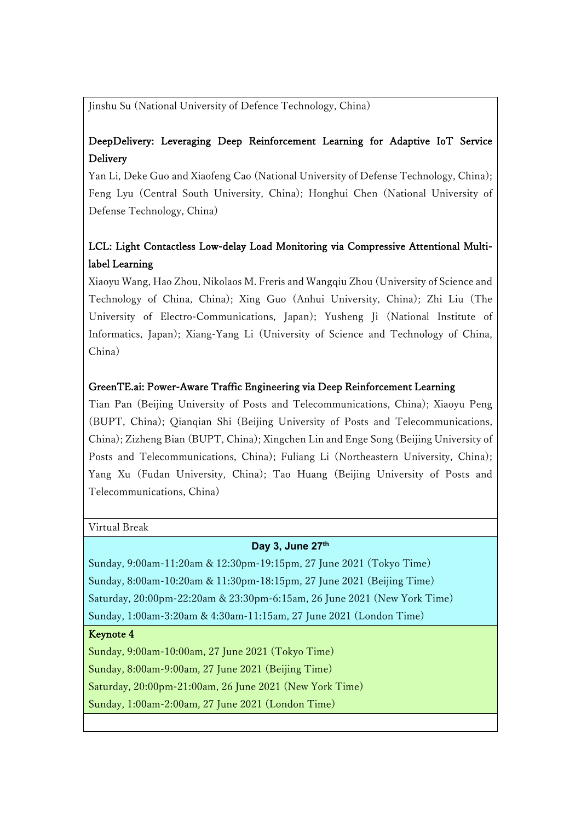Jinshu Su (National University of Defence Technology, China)

# DeepDelivery: Leveraging Deep Reinforcement Learning for Adaptive IoT Service Delivery

Yan Li, Deke Guo and Xiaofeng Cao (National University of Defense Technology, China); Feng Lyu (Central South University, China); Honghui Chen (National University of Defense Technology, China)

# LCL: Light Contactless Low-delay Load Monitoring via Compressive Attentional Multilabel Learning

Xiaoyu Wang, Hao Zhou, Nikolaos M. Freris and Wangqiu Zhou (University of Science and Technology of China, China); Xing Guo (Anhui University, China); Zhi Liu (The University of Electro-Communications, Japan); Yusheng Ji (National Institute of Informatics, Japan); Xiang-Yang Li (University of Science and Technology of China, China)

### GreenTE.ai: Power-Aware Traffic Engineering via Deep Reinforcement Learning

Tian Pan (Beijing University of Posts and Telecommunications, China); Xiaoyu Peng (BUPT, China); Qianqian Shi (Beijing University of Posts and Telecommunications, China); Zizheng Bian (BUPT, China); Xingchen Lin and Enge Song (Beijing University of Posts and Telecommunications, China); Fuliang Li (Northeastern University, China); Yang Xu (Fudan University, China); Tao Huang (Beijing University of Posts and Telecommunications, China)

Virtual Break

### **Day 3, June 27th**

Sunday, 9:00am-11:20am & 12:30pm-19:15pm, 27 June 2021 (Tokyo Time) Sunday, 8:00am-10:20am & 11:30pm-18:15pm, 27 June 2021 (Beijing Time) Saturday, 20:00pm-22:20am & 23:30pm-6:15am, 26 June 2021 (New York Time) Sunday, 1:00am-3:20am & 4:30am-11:15am, 27 June 2021 (London Time)

### Keynote 4

Sunday, 9:00am-10:00am, 27 June 2021 (Tokyo Time) Sunday, 8:00am-9:00am, 27 June 2021 (Beijing Time) Saturday, 20:00pm-21:00am, 26 June 2021 (New York Time) Sunday, 1:00am-2:00am, 27 June 2021 (London Time)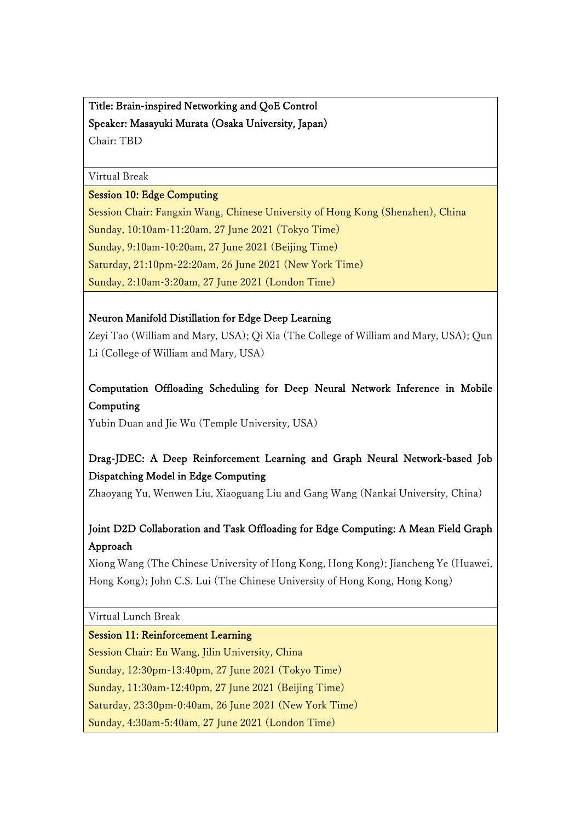Title: Brain-inspired Networking and QoE Control Speaker: Masayuki Murata (Osaka University, Japan) Chair: TBD

#### Virtual Break

### Session 10: Edge Computing

Session Chair: Fangxin Wang, Chinese University of Hong Kong (Shenzhen), China Sunday, 10:10am-11:20am, 27 June 2021 (Tokyo Time) Sunday, 9:10am-10:20am, 27 June 2021 (Beijing Time) Saturday, 21:10pm-22:20am, 26 June 2021 (New York Time) Sunday, 2:10am-3:20am, 27 June 2021 (London Time)

### Neuron Manifold Distillation for Edge Deep Learning

Zeyi Tao (William and Mary, USA); Qi Xia (The College of William and Mary, USA); Qun Li (College of William and Mary, USA)

## Computation Offloading Scheduling for Deep Neural Network Inference in Mobile Computing

Yubin Duan and Jie Wu (Temple University, USA)

# Drag-JDEC: A Deep Reinforcement Learning and Graph Neural Network-based Job Dispatching Model in Edge Computing

Zhaoyang Yu, Wenwen Liu, Xiaoguang Liu and Gang Wang (Nankai University, China)

# Joint D2D Collaboration and Task Offloading for Edge Computing: A Mean Field Graph Approach

Xiong Wang (The Chinese University of Hong Kong, Hong Kong); Jiancheng Ye (Huawei, Hong Kong); John C.S. Lui (The Chinese University of Hong Kong, Hong Kong)

Virtual Lunch Break

### Session 11: Reinforcement Learning

Session Chair: En Wang, Jilin University, China

Sunday, 12:30pm-13:40pm, 27 June 2021 (Tokyo Time)

Sunday, 11:30am-12:40pm, 27 June 2021 (Beijing Time)

Saturday, 23:30pm-0:40am, 26 June 2021 (New York Time)

Sunday, 4:30am-5:40am, 27 June 2021 (London Time)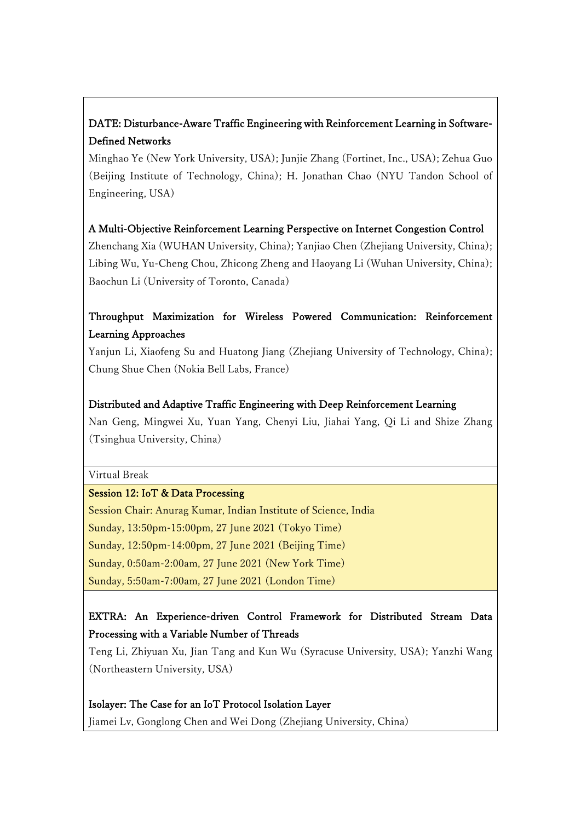# DATE: Disturbance-Aware Traffic Engineering with Reinforcement Learning in Software-Defined Networks

Minghao Ye (New York University, USA); Junjie Zhang (Fortinet, Inc., USA); Zehua Guo (Beijing Institute of Technology, China); H. Jonathan Chao (NYU Tandon School of Engineering, USA)

# A Multi-Objective Reinforcement Learning Perspective on Internet Congestion Control

Zhenchang Xia (WUHAN University, China); Yanjiao Chen (Zhejiang University, China); Libing Wu, Yu-Cheng Chou, Zhicong Zheng and Haoyang Li (Wuhan University, China); Baochun Li (University of Toronto, Canada)

# Throughput Maximization for Wireless Powered Communication: Reinforcement Learning Approaches

Yanjun Li, Xiaofeng Su and Huatong Jiang (Zhejiang University of Technology, China); Chung Shue Chen (Nokia Bell Labs, France)

## Distributed and Adaptive Traffic Engineering with Deep Reinforcement Learning

Nan Geng, Mingwei Xu, Yuan Yang, Chenyi Liu, Jiahai Yang, Qi Li and Shize Zhang (Tsinghua University, China)

Virtual Break

### Session 12: IoT & Data Processing

Session Chair: Anurag Kumar, Indian Institute of Science, India

Sunday, 13:50pm-15:00pm, 27 June 2021 (Tokyo Time)

Sunday, 12:50pm-14:00pm, 27 June 2021 (Beijing Time)

Sunday, 0:50am-2:00am, 27 June 2021 (New York Time)

Sunday, 5:50am-7:00am, 27 June 2021 (London Time)

# EXTRA: An Experience-driven Control Framework for Distributed Stream Data Processing with a Variable Number of Threads

Teng Li, Zhiyuan Xu, Jian Tang and Kun Wu (Syracuse University, USA); Yanzhi Wang (Northeastern University, USA)

## Isolayer: The Case for an IoT Protocol Isolation Layer

Jiamei Lv, Gonglong Chen and Wei Dong (Zhejiang University, China)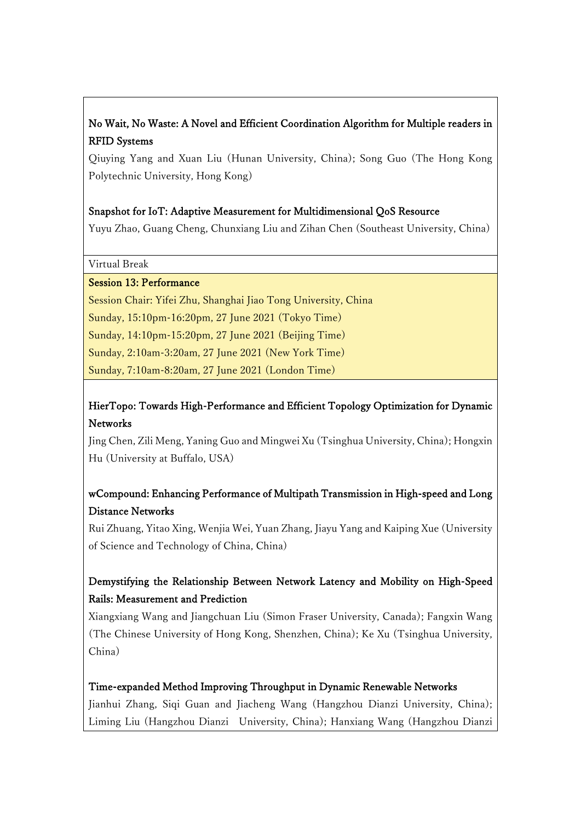# No Wait, No Waste: A Novel and Efficient Coordination Algorithm for Multiple readers in RFID Systems

Qiuying Yang and Xuan Liu (Hunan University, China); Song Guo (The Hong Kong Polytechnic University, Hong Kong)

### Snapshot for IoT: Adaptive Measurement for Multidimensional QoS Resource

Yuyu Zhao, Guang Cheng, Chunxiang Liu and Zihan Chen (Southeast University, China)

Virtual Break

#### Session 13: Performance

Session Chair: Yifei Zhu, Shanghai Jiao Tong University, China

Sunday, 15:10pm-16:20pm, 27 June 2021 (Tokyo Time)

Sunday, 14:10pm-15:20pm, 27 June 2021 (Beijing Time)

Sunday, 2:10am-3:20am, 27 June 2021 (New York Time)

Sunday, 7:10am-8:20am, 27 June 2021 (London Time)

# HierTopo: Towards High-Performance and Efficient Topology Optimization for Dynamic Networks

Jing Chen, Zili Meng, Yaning Guo and Mingwei Xu (Tsinghua University, China); Hongxin Hu (University at Buffalo, USA)

# wCompound: Enhancing Performance of Multipath Transmission in High-speed and Long Distance Networks

Rui Zhuang, Yitao Xing, Wenjia Wei, Yuan Zhang, Jiayu Yang and Kaiping Xue (University of Science and Technology of China, China)

# Demystifying the Relationship Between Network Latency and Mobility on High-Speed Rails: Measurement and Prediction

Xiangxiang Wang and Jiangchuan Liu (Simon Fraser University, Canada); Fangxin Wang (The Chinese University of Hong Kong, Shenzhen, China); Ke Xu (Tsinghua University, China)

### Time-expanded Method Improving Throughput in Dynamic Renewable Networks

Jianhui Zhang, Siqi Guan and Jiacheng Wang (Hangzhou Dianzi University, China); Liming Liu (Hangzhou Dianzi University, China); Hanxiang Wang (Hangzhou Dianzi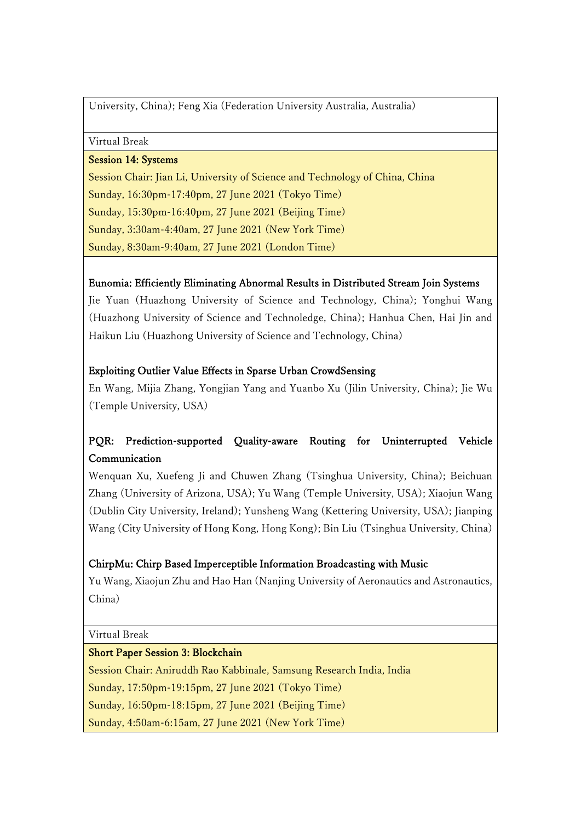University, China); Feng Xia (Federation University Australia, Australia)

Virtual Break

### Session 14: Systems

Session Chair: Jian Li, University of Science and Technology of China, China Sunday, 16:30pm-17:40pm, 27 June 2021 (Tokyo Time) Sunday, 15:30pm-16:40pm, 27 June 2021 (Beijing Time) Sunday, 3:30am-4:40am, 27 June 2021 (New York Time) Sunday, 8:30am-9:40am, 27 June 2021 (London Time)

### Eunomia: Efficiently Eliminating Abnormal Results in Distributed Stream Join Systems

Jie Yuan (Huazhong University of Science and Technology, China); Yonghui Wang (Huazhong University of Science and Technoledge, China); Hanhua Chen, Hai Jin and Haikun Liu (Huazhong University of Science and Technology, China)

### Exploiting Outlier Value Effects in Sparse Urban CrowdSensing

En Wang, Mijia Zhang, Yongjian Yang and Yuanbo Xu (Jilin University, China); Jie Wu (Temple University, USA)

# PQR: Prediction-supported Quality-aware Routing for Uninterrupted Vehicle Communication

Wenquan Xu, Xuefeng Ji and Chuwen Zhang (Tsinghua University, China); Beichuan Zhang (University of Arizona, USA); Yu Wang (Temple University, USA); Xiaojun Wang (Dublin City University, Ireland); Yunsheng Wang (Kettering University, USA); Jianping Wang (City University of Hong Kong, Hong Kong); Bin Liu (Tsinghua University, China)

### ChirpMu: Chirp Based Imperceptible Information Broadcasting with Music

Yu Wang, Xiaojun Zhu and Hao Han (Nanjing University of Aeronautics and Astronautics, China)

Virtual Break

### Short Paper Session 3: Blockchain

Session Chair: Aniruddh Rao Kabbinale, Samsung Research India, India Sunday, 17:50pm-19:15pm, 27 June 2021 (Tokyo Time) Sunday, 16:50pm-18:15pm, 27 June 2021 (Beijing Time) Sunday, 4:50am-6:15am, 27 June 2021 (New York Time)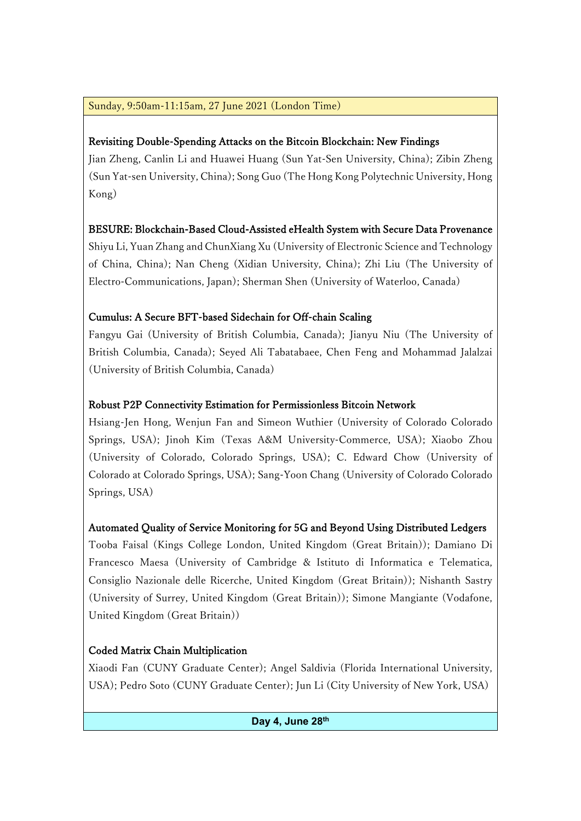## Sunday, 9:50am-11:15am, 27 June 2021 (London Time)

## Revisiting Double-Spending Attacks on the Bitcoin Blockchain: New Findings

Jian Zheng, Canlin Li and Huawei Huang (Sun Yat-Sen University, China); Zibin Zheng (Sun Yat-sen University, China); Song Guo (The Hong Kong Polytechnic University, Hong Kong)

## BESURE: Blockchain-Based Cloud-Assisted eHealth System with Secure Data Provenance

Shiyu Li, Yuan Zhang and ChunXiang Xu (University of Electronic Science and Technology of China, China); Nan Cheng (Xidian University, China); Zhi Liu (The University of Electro-Communications, Japan); Sherman Shen (University of Waterloo, Canada)

## Cumulus: A Secure BFT-based Sidechain for Off-chain Scaling

Fangyu Gai (University of British Columbia, Canada); Jianyu Niu (The University of British Columbia, Canada); Seyed Ali Tabatabaee, Chen Feng and Mohammad Jalalzai (University of British Columbia, Canada)

## Robust P2P Connectivity Estimation for Permissionless Bitcoin Network

Hsiang-Jen Hong, Wenjun Fan and Simeon Wuthier (University of Colorado Colorado Springs, USA); Jinoh Kim (Texas A&M University-Commerce, USA); Xiaobo Zhou (University of Colorado, Colorado Springs, USA); C. Edward Chow (University of Colorado at Colorado Springs, USA); Sang-Yoon Chang (University of Colorado Colorado Springs, USA)

## Automated Quality of Service Monitoring for 5G and Beyond Using Distributed Ledgers

Tooba Faisal (Kings College London, United Kingdom (Great Britain)); Damiano Di Francesco Maesa (University of Cambridge & Istituto di Informatica e Telematica, Consiglio Nazionale delle Ricerche, United Kingdom (Great Britain)); Nishanth Sastry (University of Surrey, United Kingdom (Great Britain)); Simone Mangiante (Vodafone, United Kingdom (Great Britain))

## Coded Matrix Chain Multiplication

Xiaodi Fan (CUNY Graduate Center); Angel Saldivia (Florida International University, USA); Pedro Soto (CUNY Graduate Center); Jun Li (City University of New York, USA)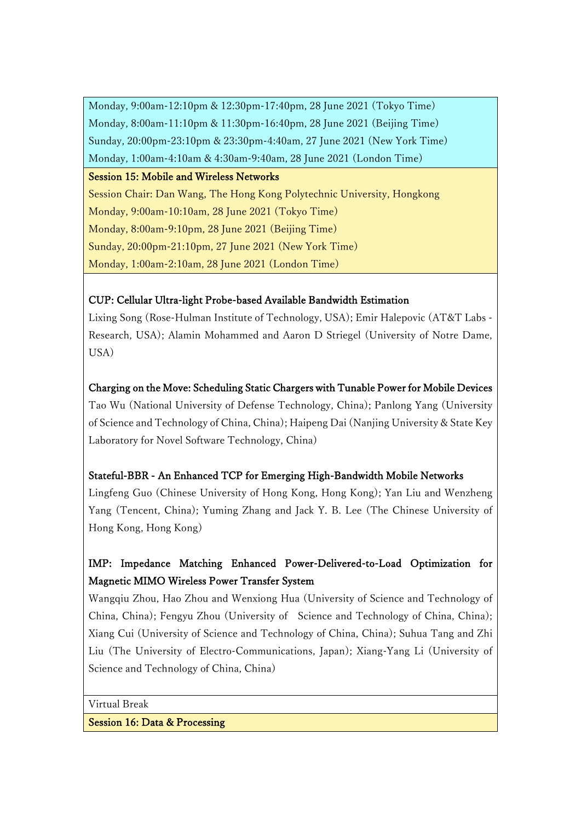Monday, 9:00am-12:10pm & 12:30pm-17:40pm, 28 June 2021 (Tokyo Time) Monday, 8:00am-11:10pm & 11:30pm-16:40pm, 28 June 2021 (Beijing Time) Sunday, 20:00pm-23:10pm & 23:30pm-4:40am, 27 June 2021 (New York Time) Monday, 1:00am-4:10am & 4:30am-9:40am, 28 June 2021 (London Time)

### Session 15: Mobile and Wireless Networks

Session Chair: Dan Wang, The Hong Kong Polytechnic University, Hongkong Monday, 9:00am-10:10am, 28 June 2021 (Tokyo Time) Monday, 8:00am-9:10pm, 28 June 2021 (Beijing Time) Sunday, 20:00pm-21:10pm, 27 June 2021 (New York Time) Monday, 1:00am-2:10am, 28 June 2021 (London Time)

## CUP: Cellular Ultra-light Probe-based Available Bandwidth Estimation

Lixing Song (Rose-Hulman Institute of Technology, USA); Emir Halepovic (AT&T Labs - Research, USA); Alamin Mohammed and Aaron D Striegel (University of Notre Dame, USA)

### Charging on the Move: Scheduling Static Chargers with Tunable Power for Mobile Devices

Tao Wu (National University of Defense Technology, China); Panlong Yang (University of Science and Technology of China, China); Haipeng Dai (Nanjing University & State Key Laboratory for Novel Software Technology, China)

### Stateful-BBR - An Enhanced TCP for Emerging High-Bandwidth Mobile Networks

Lingfeng Guo (Chinese University of Hong Kong, Hong Kong); Yan Liu and Wenzheng Yang (Tencent, China); Yuming Zhang and Jack Y. B. Lee (The Chinese University of Hong Kong, Hong Kong)

# IMP: Impedance Matching Enhanced Power-Delivered-to-Load Optimization for Magnetic MIMO Wireless Power Transfer System

Wangqiu Zhou, Hao Zhou and Wenxiong Hua (University of Science and Technology of China, China); Fengyu Zhou (University of Science and Technology of China, China); Xiang Cui (University of Science and Technology of China, China); Suhua Tang and Zhi Liu (The University of Electro-Communications, Japan); Xiang-Yang Li (University of Science and Technology of China, China)

Virtual Break

Session 16: Data & Processing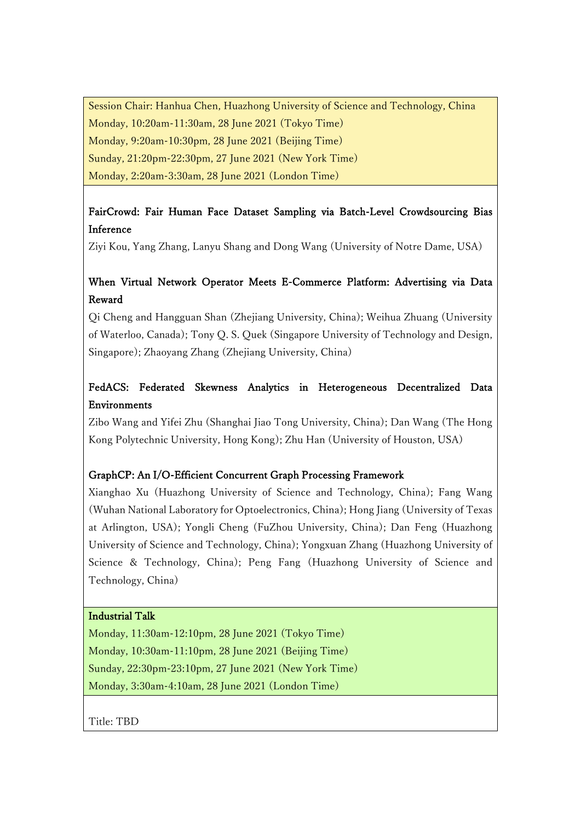Session Chair: Hanhua Chen, Huazhong University of Science and Technology, China Monday, 10:20am-11:30am, 28 June 2021 (Tokyo Time) Monday, 9:20am-10:30pm, 28 June 2021 (Beijing Time) Sunday, 21:20pm-22:30pm, 27 June 2021 (New York Time) Monday, 2:20am-3:30am, 28 June 2021 (London Time)

## FairCrowd: Fair Human Face Dataset Sampling via Batch-Level Crowdsourcing Bias Inference

Ziyi Kou, Yang Zhang, Lanyu Shang and Dong Wang (University of Notre Dame, USA)

## When Virtual Network Operator Meets E-Commerce Platform: Advertising via Data Reward

Qi Cheng and Hangguan Shan (Zhejiang University, China); Weihua Zhuang (University of Waterloo, Canada); Tony Q. S. Quek (Singapore University of Technology and Design, Singapore); Zhaoyang Zhang (Zhejiang University, China)

# FedACS: Federated Skewness Analytics in Heterogeneous Decentralized Data Environments

Zibo Wang and Yifei Zhu (Shanghai Jiao Tong University, China); Dan Wang (The Hong Kong Polytechnic University, Hong Kong); Zhu Han (University of Houston, USA)

### GraphCP: An I/O-Efficient Concurrent Graph Processing Framework

Xianghao Xu (Huazhong University of Science and Technology, China); Fang Wang (Wuhan National Laboratory for Optoelectronics, China); Hong Jiang (University of Texas at Arlington, USA); Yongli Cheng (FuZhou University, China); Dan Feng (Huazhong University of Science and Technology, China); Yongxuan Zhang (Huazhong University of Science & Technology, China); Peng Fang (Huazhong University of Science and Technology, China)

### Industrial Talk

Monday, 11:30am-12:10pm, 28 June 2021 (Tokyo Time) Monday, 10:30am-11:10pm, 28 June 2021 (Beijing Time) Sunday, 22:30pm-23:10pm, 27 June 2021 (New York Time) Monday, 3:30am-4:10am, 28 June 2021 (London Time)

Title: TBD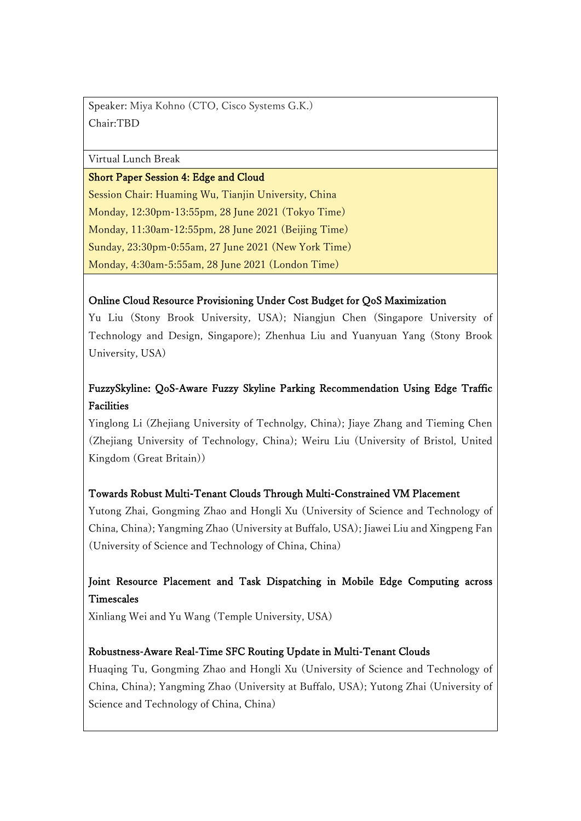Speaker: Miya Kohno (CTO, Cisco Systems G.K.) Chair:TBD

#### Virtual Lunch Break

#### Short Paper Session 4: Edge and Cloud

Session Chair: Huaming Wu, Tianjin University, China Monday, 12:30pm-13:55pm, 28 June 2021 (Tokyo Time) Monday, 11:30am-12:55pm, 28 June 2021 (Beijing Time) Sunday, 23:30pm-0:55am, 27 June 2021 (New York Time) Monday, 4:30am-5:55am, 28 June 2021 (London Time)

### Online Cloud Resource Provisioning Under Cost Budget for QoS Maximization

Yu Liu (Stony Brook University, USA); Niangjun Chen (Singapore University of Technology and Design, Singapore); Zhenhua Liu and Yuanyuan Yang (Stony Brook University, USA)

# FuzzySkyline: QoS-Aware Fuzzy Skyline Parking Recommendation Using Edge Traffic Facilities

Yinglong Li (Zhejiang University of Technolgy, China); Jiaye Zhang and Tieming Chen (Zhejiang University of Technology, China); Weiru Liu (University of Bristol, United Kingdom (Great Britain))

### Towards Robust Multi-Tenant Clouds Through Multi-Constrained VM Placement

Yutong Zhai, Gongming Zhao and Hongli Xu (University of Science and Technology of China, China); Yangming Zhao (University at Buffalo, USA); Jiawei Liu and Xingpeng Fan (University of Science and Technology of China, China)

## Joint Resource Placement and Task Dispatching in Mobile Edge Computing across **Timescales**

Xinliang Wei and Yu Wang (Temple University, USA)

### Robustness-Aware Real-Time SFC Routing Update in Multi-Tenant Clouds

Huaqing Tu, Gongming Zhao and Hongli Xu (University of Science and Technology of China, China); Yangming Zhao (University at Buffalo, USA); Yutong Zhai (University of Science and Technology of China, China)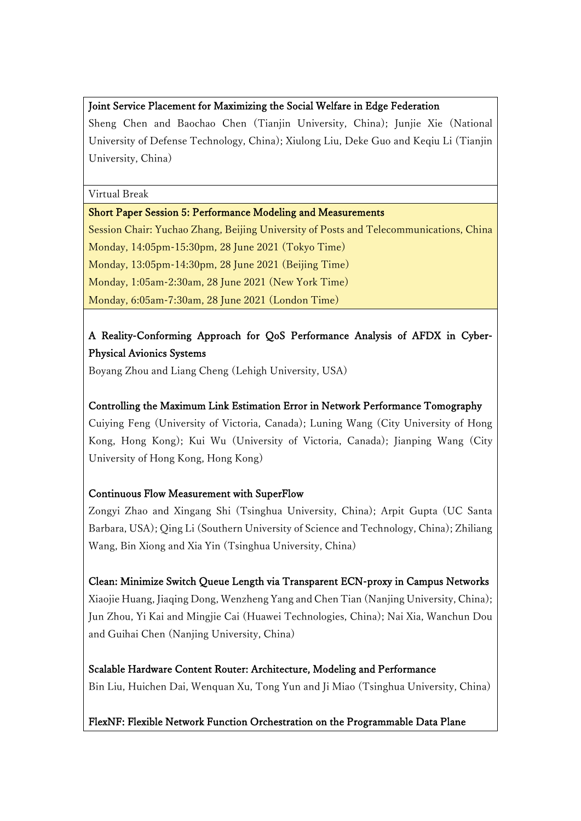#### Joint Service Placement for Maximizing the Social Welfare in Edge Federation

Sheng Chen and Baochao Chen (Tianjin University, China); Junjie Xie (National University of Defense Technology, China); Xiulong Liu, Deke Guo and Keqiu Li (Tianjin University, China)

Virtual Break

#### Short Paper Session 5: Performance Modeling and Measurements

Session Chair: Yuchao Zhang, Beijing University of Posts and Telecommunications, China Monday, 14:05pm-15:30pm, 28 June 2021 (Tokyo Time) Monday, 13:05pm-14:30pm, 28 June 2021 (Beijing Time) Monday, 1:05am-2:30am, 28 June 2021 (New York Time) Monday, 6:05am-7:30am, 28 June 2021 (London Time)

# A Reality-Conforming Approach for QoS Performance Analysis of AFDX in Cyber-Physical Avionics Systems

Boyang Zhou and Liang Cheng (Lehigh University, USA)

### Controlling the Maximum Link Estimation Error in Network Performance Tomography

Cuiying Feng (University of Victoria, Canada); Luning Wang (City University of Hong Kong, Hong Kong); Kui Wu (University of Victoria, Canada); Jianping Wang (City University of Hong Kong, Hong Kong)

### Continuous Flow Measurement with SuperFlow

Zongyi Zhao and Xingang Shi (Tsinghua University, China); Arpit Gupta (UC Santa Barbara, USA); Qing Li (Southern University of Science and Technology, China); Zhiliang Wang, Bin Xiong and Xia Yin (Tsinghua University, China)

Clean: Minimize Switch Queue Length via Transparent ECN-proxy in Campus Networks Xiaojie Huang, Jiaqing Dong, Wenzheng Yang and Chen Tian (Nanjing University, China); Jun Zhou, Yi Kai and Mingjie Cai (Huawei Technologies, China); Nai Xia, Wanchun Dou and Guihai Chen (Nanjing University, China)

### Scalable Hardware Content Router: Architecture, Modeling and Performance Bin Liu, Huichen Dai, Wenquan Xu, Tong Yun and Ji Miao (Tsinghua University, China)

### FlexNF: Flexible Network Function Orchestration on the Programmable Data Plane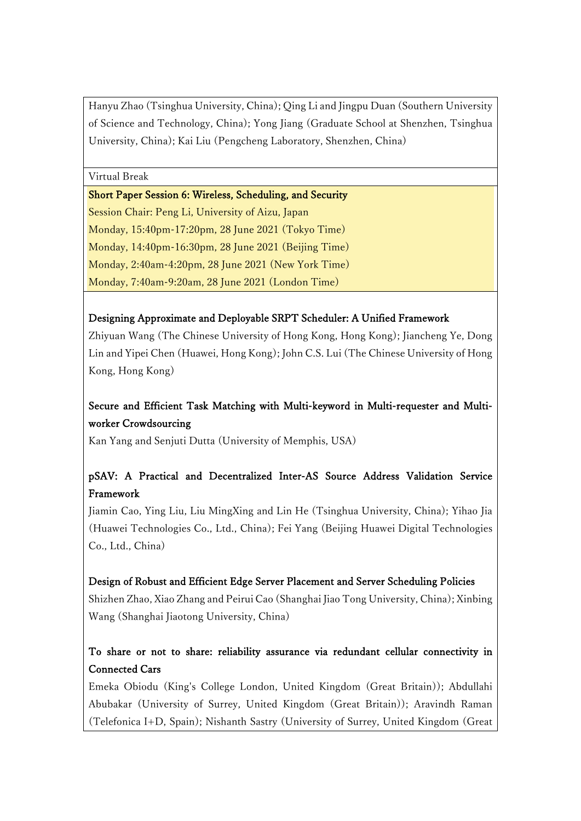Hanyu Zhao (Tsinghua University, China); Qing Li and Jingpu Duan (Southern University of Science and Technology, China); Yong Jiang (Graduate School at Shenzhen, Tsinghua University, China); Kai Liu (Pengcheng Laboratory, Shenzhen, China)

Virtual Break

Short Paper Session 6: Wireless, Scheduling, and Security Session Chair: Peng Li, University of Aizu, Japan Monday, 15:40pm-17:20pm, 28 June 2021 (Tokyo Time) Monday, 14:40pm-16:30pm, 28 June 2021 (Beijing Time) Monday, 2:40am-4:20pm, 28 June 2021 (New York Time) Monday, 7:40am-9:20am, 28 June 2021 (London Time)

### Designing Approximate and Deployable SRPT Scheduler: A Unified Framework

Zhiyuan Wang (The Chinese University of Hong Kong, Hong Kong); Jiancheng Ye, Dong Lin and Yipei Chen (Huawei, Hong Kong); John C.S. Lui (The Chinese University of Hong Kong, Hong Kong)

# Secure and Efficient Task Matching with Multi-keyword in Multi-requester and Multiworker Crowdsourcing

Kan Yang and Senjuti Dutta (University of Memphis, USA)

# pSAV: A Practical and Decentralized Inter-AS Source Address Validation Service Framework

Jiamin Cao, Ying Liu, Liu MingXing and Lin He (Tsinghua University, China); Yihao Jia (Huawei Technologies Co., Ltd., China); Fei Yang (Beijing Huawei Digital Technologies Co., Ltd., China)

### Design of Robust and Efficient Edge Server Placement and Server Scheduling Policies

Shizhen Zhao, Xiao Zhang and Peirui Cao (Shanghai Jiao Tong University, China); Xinbing Wang (Shanghai Jiaotong University, China)

# To share or not to share: reliability assurance via redundant cellular connectivity in Connected Cars

Emeka Obiodu (King's College London, United Kingdom (Great Britain)); Abdullahi Abubakar (University of Surrey, United Kingdom (Great Britain)); Aravindh Raman (Telefonica I+D, Spain); Nishanth Sastry (University of Surrey, United Kingdom (Great